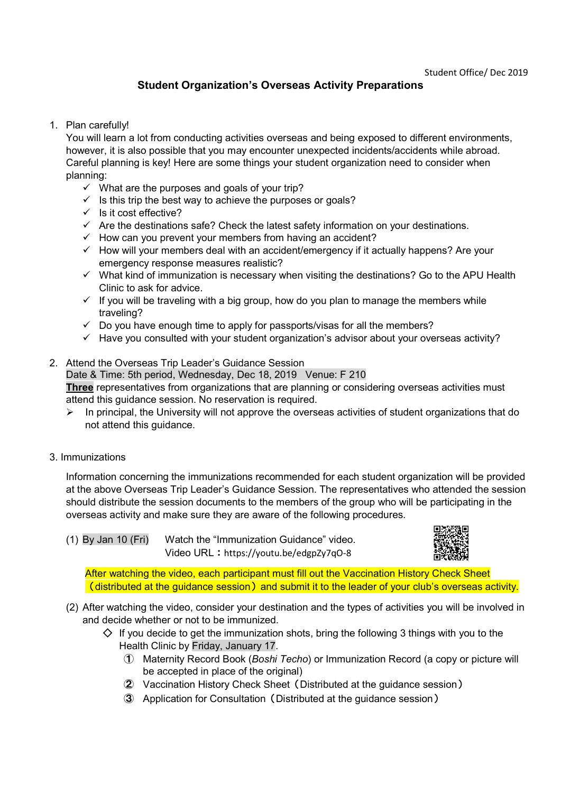## Student Organization's Overseas Activity Preparations

1. Plan carefully!

You will learn a lot from conducting activities overseas and being exposed to different environments, however, it is also possible that you may encounter unexpected incidents/accidents while abroad. Careful planning is key! Here are some things your student organization need to consider when planning:

- $\checkmark$  What are the purposes and goals of your trip?
- $\checkmark$  Is this trip the best way to achieve the purposes or goals?
- $\checkmark$  Is it cost effective?
- $\checkmark$  Are the destinations safe? Check the latest safety information on your destinations.
- $\checkmark$  How can you prevent your members from having an accident?
- $\checkmark$  How will your members deal with an accident/emergency if it actually happens? Are your emergency response measures realistic?
- $\checkmark$  What kind of immunization is necessary when visiting the destinations? Go to the APU Health Clinic to ask for advice.
- $\checkmark$  If you will be traveling with a big group, how do you plan to manage the members while traveling?
- $\checkmark$  Do you have enough time to apply for passports/visas for all the members?
- $\checkmark$  Have you consulted with your student organization's advisor about your overseas activity?
- 2. Attend the Overseas Trip Leader's Guidance Session Date & Time: 5th period, Wednesday, Dec 18, 2019 Venue: F 210

Three representatives from organizations that are planning or considering overseas activities must attend this guidance session. No reservation is required.

- $\triangleright$  In principal, the University will not approve the overseas activities of student organizations that do not attend this guidance.
- 3. Immunizations

Information concerning the immunizations recommended for each student organization will be provided at the above Overseas Trip Leader's Guidance Session. The representatives who attended the session should distribute the session documents to the members of the group who will be participating in the overseas activity and make sure they are aware of the following procedures.

(1) By Jan 10 (Fri) Watch the "Immunization Guidance" video. Video URL: https://youtu.be/edgpZy7qO-8



After watching the video, each participant must fill out the Vaccination History Check Sheet  $\overline{\phantom{a}}$  (distributed at the guidance session) and submit it to the leader of your club's overseas activity.

- (2) After watching the video, consider your destination and the types of activities you will be involved in and decide whether or not to be immunized.
	- $\diamondsuit$  If you decide to get the immunization shots, bring the following 3 things with you to the Health Clinic by Friday, January 17.
		- ① Maternity Record Book (Boshi Techo) or Immunization Record (a copy or picture will be accepted in place of the original)
		- ② Vaccination History Check Sheet(Distributed at the guidance session)
		- ③ Application for Consultation(Distributed at the guidance session)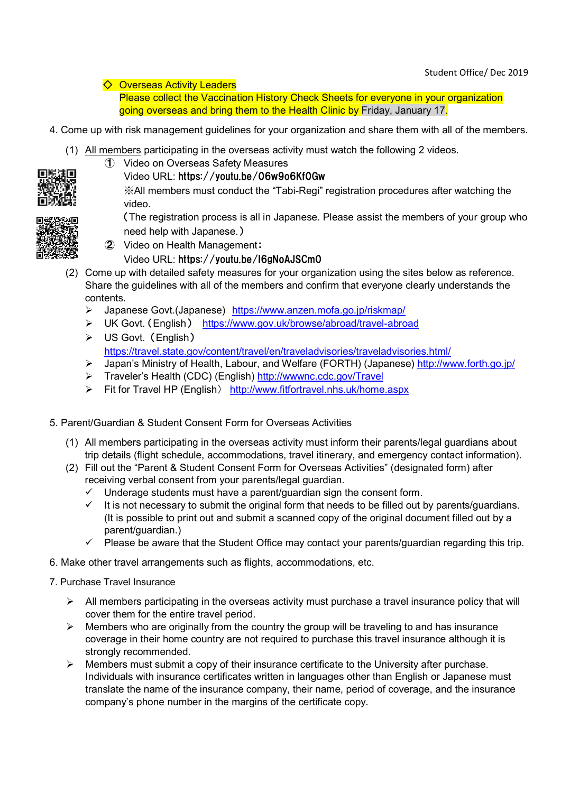◇ Overseas Activity Leaders

Please collect the Vaccination History Check Sheets for everyone in your organization going overseas and bring them to the Health Clinic by Friday, January 17.

- 4. Come up with risk management guidelines for your organization and share them with all of the members.
	- (1) All members participating in the overseas activity must watch the following 2 videos. ① Video on Overseas Safety Measures



Video URL: https://youtu.be/06w9o6Kf0Gw

※All members must conduct the "Tabi-Regi" registration procedures after watching the video.

(The registration process is all in Japanese. Please assist the members of your group who need help with Japanese.)

- - ② Video on Health Management:
		- Video URL: https://youtu.be/I6gNoAJSCm0
- (2) Come up with detailed safety measures for your organization using the sites below as reference. Share the guidelines with all of the members and confirm that everyone clearly understands the contents.
	- > Japanese Govt.(Japanese) https://www.anzen.mofa.go.jp/riskmap/
	- UK Govt. (English) https://www.gov.uk/browse/abroad/travel-abroad
	- US Govt. (English) https://travel.state.gov/content/travel/en/traveladvisories/traveladvisories.html/
	- > Japan's Ministry of Health, Labour, and Welfare (FORTH) (Japanese) http://www.forth.go.jp/
	- > Traveler's Health (CDC) (English) http://wwwnc.cdc.gov/Travel
	- Fit for Travel HP (English) http://www.fitfortravel.nhs.uk/home.aspx
- 5. Parent/Guardian & Student Consent Form for Overseas Activities
	- (1) All members participating in the overseas activity must inform their parents/legal guardians about trip details (flight schedule, accommodations, travel itinerary, and emergency contact information).
	- (2) Fill out the "Parent & Student Consent Form for Overseas Activities" (designated form) after receiving verbal consent from your parents/legal guardian.
		- $\checkmark$  Underage students must have a parent/guardian sign the consent form.
		- $\checkmark$  It is not necessary to submit the original form that needs to be filled out by parents/guardians. (It is possible to print out and submit a scanned copy of the original document filled out by a parent/guardian.)
		- Please be aware that the Student Office may contact your parents/guardian regarding this trip.
- 6. Make other travel arrangements such as flights, accommodations, etc.
- 7. Purchase Travel Insurance
	- $\triangleright$  All members participating in the overseas activity must purchase a travel insurance policy that will cover them for the entire travel period.
	- $\triangleright$  Members who are originally from the country the group will be traveling to and has insurance coverage in their home country are not required to purchase this travel insurance although it is strongly recommended.
	- $\triangleright$  Members must submit a copy of their insurance certificate to the University after purchase. Individuals with insurance certificates written in languages other than English or Japanese must translate the name of the insurance company, their name, period of coverage, and the insurance company's phone number in the margins of the certificate copy.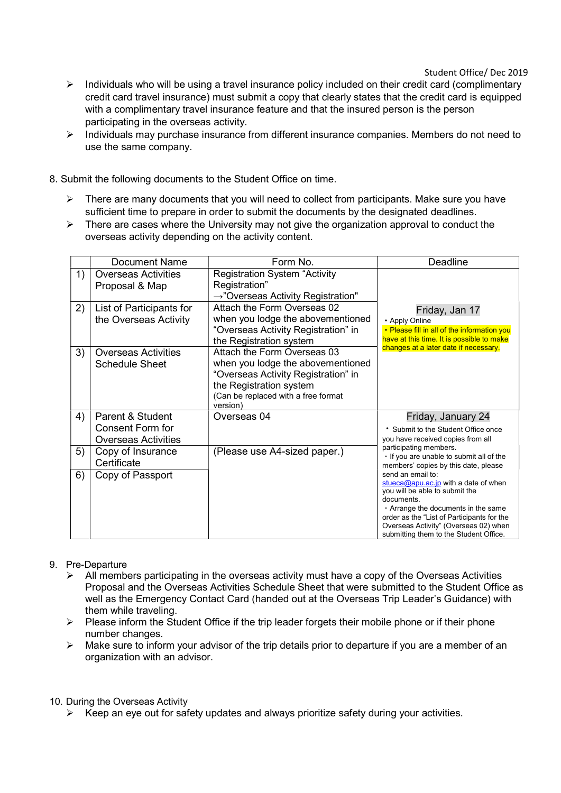Student Office/ Dec 2019

- $\triangleright$  Individuals who will be using a travel insurance policy included on their credit card (complimentary credit card travel insurance) must submit a copy that clearly states that the credit card is equipped with a complimentary travel insurance feature and that the insured person is the person participating in the overseas activity.
- $\triangleright$  Individuals may purchase insurance from different insurance companies. Members do not need to use the same company.
- 8. Submit the following documents to the Student Office on time.
	- $\triangleright$  There are many documents that you will need to collect from participants. Make sure you have sufficient time to prepare in order to submit the documents by the designated deadlines.
	- $\triangleright$  There are cases where the University may not give the organization approval to conduct the overseas activity depending on the activity content.

|    | <b>Document Name</b>                                                      | Form No.                                                                                                                                                                              | Deadline                                                                                                                                                                                                                                                                                                                                                                                                                                                                                               |
|----|---------------------------------------------------------------------------|---------------------------------------------------------------------------------------------------------------------------------------------------------------------------------------|--------------------------------------------------------------------------------------------------------------------------------------------------------------------------------------------------------------------------------------------------------------------------------------------------------------------------------------------------------------------------------------------------------------------------------------------------------------------------------------------------------|
| 1) | <b>Overseas Activities</b><br>Proposal & Map                              | <b>Registration System "Activity</b><br>Registration"<br>$\rightarrow$ "Overseas Activity Registration"                                                                               |                                                                                                                                                                                                                                                                                                                                                                                                                                                                                                        |
| 2) | List of Participants for<br>the Overseas Activity                         | Attach the Form Overseas 02<br>when you lodge the abovementioned<br>"Overseas Activity Registration" in<br>the Registration system                                                    | Friday, Jan 17<br>• Apply Online<br>• Please fill in all of the information you<br>have at this time. It is possible to make                                                                                                                                                                                                                                                                                                                                                                           |
| 3) | <b>Overseas Activities</b><br><b>Schedule Sheet</b>                       | Attach the Form Overseas 03<br>when you lodge the abovementioned<br>"Overseas Activity Registration" in<br>the Registration system<br>(Can be replaced with a free format<br>version) | changes at a later date if necessary.                                                                                                                                                                                                                                                                                                                                                                                                                                                                  |
| 4) | Parent & Student<br><b>Consent Form for</b><br><b>Overseas Activities</b> | Overseas 04                                                                                                                                                                           | Friday, January 24<br>* Submit to the Student Office once<br>you have received copies from all<br>participating members.<br>. If you are unable to submit all of the<br>members' copies by this date, please<br>send an email to:<br>stueca@apu.ac.jp with a date of when<br>you will be able to submit the<br>documents<br>$\cdot$ Arrange the documents in the same<br>order as the "List of Participants for the<br>Overseas Activity" (Overseas 02) when<br>submitting them to the Student Office. |
| 5) | Copy of Insurance<br>Certificate                                          | (Please use A4-sized paper.)                                                                                                                                                          |                                                                                                                                                                                                                                                                                                                                                                                                                                                                                                        |
| 6) | Copy of Passport                                                          |                                                                                                                                                                                       |                                                                                                                                                                                                                                                                                                                                                                                                                                                                                                        |

## 9. Pre-Departure

- $\triangleright$  All members participating in the overseas activity must have a copy of the Overseas Activities Proposal and the Overseas Activities Schedule Sheet that were submitted to the Student Office as well as the Emergency Contact Card (handed out at the Overseas Trip Leader's Guidance) with them while traveling.
- $\triangleright$  Please inform the Student Office if the trip leader forgets their mobile phone or if their phone number changes.
- $\triangleright$  Make sure to inform your advisor of the trip details prior to departure if you are a member of an organization with an advisor.

## 10. During the Overseas Activity

 $\triangleright$  Keep an eye out for safety updates and always prioritize safety during your activities.